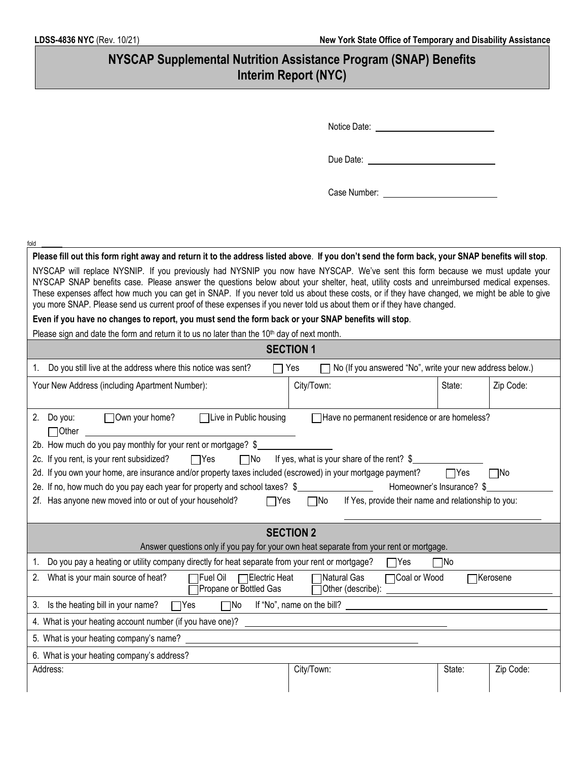| NYSCAP Supplemental Nutrition Assistance Program (SNAP) Benefits<br><b>Interim Report (NYC)</b>                                                                                                                                                                                                                                                                                                                                                                                                                                                                                                                                                                                                             |                                                                 |        |           |  |  |
|-------------------------------------------------------------------------------------------------------------------------------------------------------------------------------------------------------------------------------------------------------------------------------------------------------------------------------------------------------------------------------------------------------------------------------------------------------------------------------------------------------------------------------------------------------------------------------------------------------------------------------------------------------------------------------------------------------------|-----------------------------------------------------------------|--------|-----------|--|--|
|                                                                                                                                                                                                                                                                                                                                                                                                                                                                                                                                                                                                                                                                                                             |                                                                 |        |           |  |  |
| Notice Date: Notice Date:                                                                                                                                                                                                                                                                                                                                                                                                                                                                                                                                                                                                                                                                                   |                                                                 |        |           |  |  |
| Due Date: <u>_______________________________</u>                                                                                                                                                                                                                                                                                                                                                                                                                                                                                                                                                                                                                                                            |                                                                 |        |           |  |  |
|                                                                                                                                                                                                                                                                                                                                                                                                                                                                                                                                                                                                                                                                                                             |                                                                 |        |           |  |  |
|                                                                                                                                                                                                                                                                                                                                                                                                                                                                                                                                                                                                                                                                                                             |                                                                 |        |           |  |  |
| fold                                                                                                                                                                                                                                                                                                                                                                                                                                                                                                                                                                                                                                                                                                        |                                                                 |        |           |  |  |
| Please fill out this form right away and return it to the address listed above. If you don't send the form back, your SNAP benefits will stop.<br>NYSCAP will replace NYSNIP. If you previously had NYSNIP you now have NYSCAP. We've sent this form because we must update your<br>NYSCAP SNAP benefits case. Please answer the questions below about your shelter, heat, utility costs and unreimbursed medical expenses.<br>These expenses affect how much you can get in SNAP. If you never told us about these costs, or if they have changed, we might be able to give<br>you more SNAP. Please send us current proof of these expenses if you never told us about them or if they have changed.      |                                                                 |        |           |  |  |
| Even if you have no changes to report, you must send the form back or your SNAP benefits will stop.                                                                                                                                                                                                                                                                                                                                                                                                                                                                                                                                                                                                         |                                                                 |        |           |  |  |
| Please sign and date the form and return it to us no later than the 10 <sup>th</sup> day of next month.                                                                                                                                                                                                                                                                                                                                                                                                                                                                                                                                                                                                     |                                                                 |        |           |  |  |
| <b>SECTION 1</b>                                                                                                                                                                                                                                                                                                                                                                                                                                                                                                                                                                                                                                                                                            |                                                                 |        |           |  |  |
| 1. Do you still live at the address where this notice was sent?<br>$\overline{\phantom{a}}$                                                                                                                                                                                                                                                                                                                                                                                                                                                                                                                                                                                                                 | No (If you answered "No", write your new address below.)<br>Yes |        |           |  |  |
| Your New Address (including Apartment Number):                                                                                                                                                                                                                                                                                                                                                                                                                                                                                                                                                                                                                                                              | City/Town:                                                      | State: | Zip Code: |  |  |
| $\Box$ Own your home?<br>□Live in Public housing<br>2. Do you:<br>Have no permanent residence or are homeless?<br>$\Box$ Other<br>2b. How much do you pay monthly for your rent or mortgage? \$<br>If yes, what is your share of the rent? \$<br>2c. If you rent, is your rent subsidized?<br>$\Box$ Yes<br>$\Box$ No<br>2d. If you own your home, are insurance and/or property taxes included (escrowed) in your mortgage payment?<br>1Yes<br>$\Box$ No<br>Homeowner's Insurance? \$<br>2e. If no, how much do you pay each year for property and school taxes? \$<br>2f. Has anyone new moved into or out of your household?<br>If Yes, provide their name and relationship to you:<br>$\Box$ Yes<br>∏No |                                                                 |        |           |  |  |
| <b>SECTION 2</b>                                                                                                                                                                                                                                                                                                                                                                                                                                                                                                                                                                                                                                                                                            |                                                                 |        |           |  |  |
| Answer questions only if you pay for your own heat separate from your rent or mortgage.                                                                                                                                                                                                                                                                                                                                                                                                                                                                                                                                                                                                                     |                                                                 |        |           |  |  |
| 1. Do you pay a heating or utility company directly for heat separate from your rent or mortgage?<br>¶No<br>$\sqcap$ Yes                                                                                                                                                                                                                                                                                                                                                                                                                                                                                                                                                                                    |                                                                 |        |           |  |  |
| 2. What is your main source of heat?<br><b>TFuel Oil</b><br>Natural Gas<br><b>Electric Heat</b><br>Coal or Wood<br><b>TKerosene</b><br>Propane or Bottled Gas<br>Other (describe):                                                                                                                                                                                                                                                                                                                                                                                                                                                                                                                          |                                                                 |        |           |  |  |
| Is the heating bill in your name?<br>If "No", name on the bill?<br>$\square$ No<br>Yes<br>3.                                                                                                                                                                                                                                                                                                                                                                                                                                                                                                                                                                                                                |                                                                 |        |           |  |  |
| 4. What is your heating account number (if you have one)?                                                                                                                                                                                                                                                                                                                                                                                                                                                                                                                                                                                                                                                   |                                                                 |        |           |  |  |
| 5. What is your heating company's name?                                                                                                                                                                                                                                                                                                                                                                                                                                                                                                                                                                                                                                                                     |                                                                 |        |           |  |  |
| 6. What is your heating company's address?                                                                                                                                                                                                                                                                                                                                                                                                                                                                                                                                                                                                                                                                  |                                                                 |        |           |  |  |
| Address:                                                                                                                                                                                                                                                                                                                                                                                                                                                                                                                                                                                                                                                                                                    | City/Town:                                                      | State: | Zip Code: |  |  |